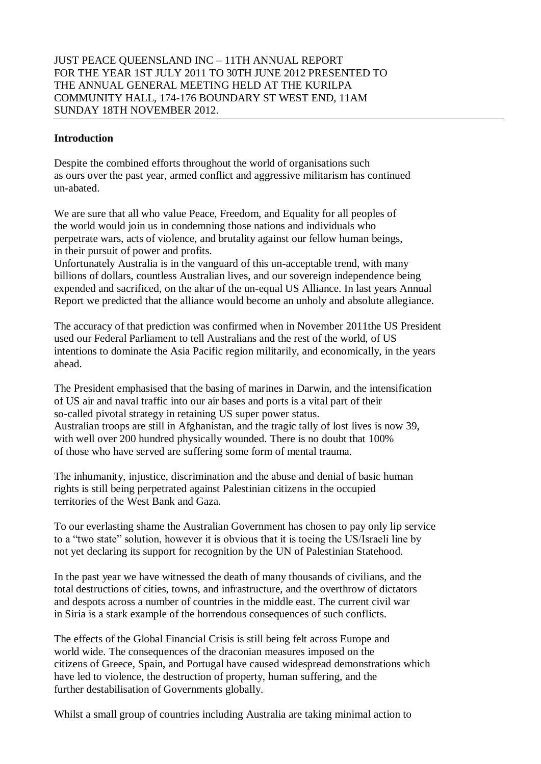### **Introduction**

Despite the combined efforts throughout the world of organisations such as ours over the past year, armed conflict and aggressive militarism has continued un-abated.

We are sure that all who value Peace, Freedom, and Equality for all peoples of the world would join us in condemning those nations and individuals who perpetrate wars, acts of violence, and brutality against our fellow human beings, in their pursuit of power and profits.

Unfortunately Australia is in the vanguard of this un-acceptable trend, with many billions of dollars, countless Australian lives, and our sovereign independence being expended and sacrificed, on the altar of the un-equal US Alliance. In last years Annual Report we predicted that the alliance would become an unholy and absolute allegiance.

The accuracy of that prediction was confirmed when in November 2011the US President used our Federal Parliament to tell Australians and the rest of the world, of US intentions to dominate the Asia Pacific region militarily, and economically, in the years ahead.

The President emphasised that the basing of marines in Darwin, and the intensification of US air and naval traffic into our air bases and ports is a vital part of their so-called pivotal strategy in retaining US super power status. Australian troops are still in Afghanistan, and the tragic tally of lost lives is now 39, with well over 200 hundred physically wounded. There is no doubt that 100% of those who have served are suffering some form of mental trauma.

The inhumanity, injustice, discrimination and the abuse and denial of basic human rights is still being perpetrated against Palestinian citizens in the occupied territories of the West Bank and Gaza.

To our everlasting shame the Australian Government has chosen to pay only lip service to a "two state" solution, however it is obvious that it is toeing the US/Israeli line by not yet declaring its support for recognition by the UN of Palestinian Statehood.

In the past year we have witnessed the death of many thousands of civilians, and the total destructions of cities, towns, and infrastructure, and the overthrow of dictators and despots across a number of countries in the middle east. The current civil war in Siria is a stark example of the horrendous consequences of such conflicts.

The effects of the Global Financial Crisis is still being felt across Europe and world wide. The consequences of the draconian measures imposed on the citizens of Greece, Spain, and Portugal have caused widespread demonstrations which have led to violence, the destruction of property, human suffering, and the further destabilisation of Governments globally.

Whilst a small group of countries including Australia are taking minimal action to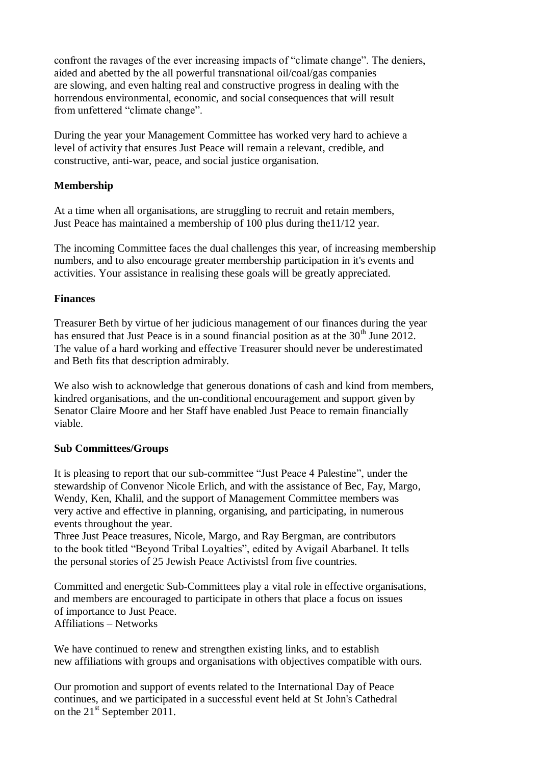confront the ravages of the ever increasing impacts of "climate change". The deniers, aided and abetted by the all powerful transnational oil/coal/gas companies are slowing, and even halting real and constructive progress in dealing with the horrendous environmental, economic, and social consequences that will result from unfettered "climate change".

During the year your Management Committee has worked very hard to achieve a level of activity that ensures Just Peace will remain a relevant, credible, and constructive, anti-war, peace, and social justice organisation.

## **Membership**

At a time when all organisations, are struggling to recruit and retain members, Just Peace has maintained a membership of 100 plus during the11/12 year.

The incoming Committee faces the dual challenges this year, of increasing membership numbers, and to also encourage greater membership participation in it's events and activities. Your assistance in realising these goals will be greatly appreciated.

## **Finances**

Treasurer Beth by virtue of her judicious management of our finances during the year has ensured that Just Peace is in a sound financial position as at the  $30<sup>th</sup>$  June 2012. The value of a hard working and effective Treasurer should never be underestimated and Beth fits that description admirably.

We also wish to acknowledge that generous donations of cash and kind from members, kindred organisations, and the un-conditional encouragement and support given by Senator Claire Moore and her Staff have enabled Just Peace to remain financially viable.

### **Sub Committees/Groups**

It is pleasing to report that our sub-committee "Just Peace 4 Palestine", under the stewardship of Convenor Nicole Erlich, and with the assistance of Bec, Fay, Margo, Wendy, Ken, Khalil, and the support of Management Committee members was very active and effective in planning, organising, and participating, in numerous events throughout the year.

Three Just Peace treasures, Nicole, Margo, and Ray Bergman, are contributors to the book titled "Beyond Tribal Loyalties", edited by Avigail Abarbanel. It tells the personal stories of 25 Jewish Peace Activistsl from five countries.

Committed and energetic Sub-Committees play a vital role in effective organisations, and members are encouraged to participate in others that place a focus on issues of importance to Just Peace. Affiliations – Networks

We have continued to renew and strengthen existing links, and to establish new affiliations with groups and organisations with objectives compatible with ours.

Our promotion and support of events related to the International Day of Peace continues, and we participated in a successful event held at St John's Cathedral on the 21<sup>st</sup> September 2011.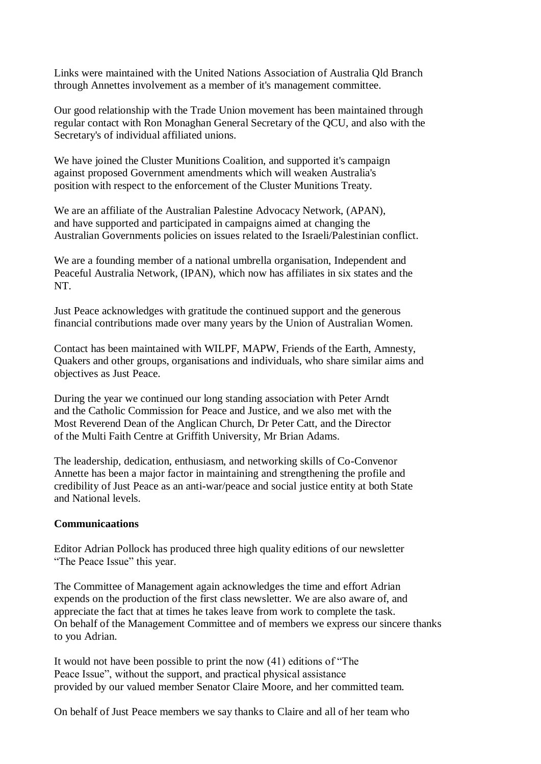Links were maintained with the United Nations Association of Australia Qld Branch through Annettes involvement as a member of it's management committee.

Our good relationship with the Trade Union movement has been maintained through regular contact with Ron Monaghan General Secretary of the QCU, and also with the Secretary's of individual affiliated unions.

We have joined the Cluster Munitions Coalition, and supported it's campaign against proposed Government amendments which will weaken Australia's position with respect to the enforcement of the Cluster Munitions Treaty.

We are an affiliate of the Australian Palestine Advocacy Network, (APAN), and have supported and participated in campaigns aimed at changing the Australian Governments policies on issues related to the Israeli/Palestinian conflict.

We are a founding member of a national umbrella organisation, Independent and Peaceful Australia Network, (IPAN), which now has affiliates in six states and the NT.

Just Peace acknowledges with gratitude the continued support and the generous financial contributions made over many years by the Union of Australian Women.

Contact has been maintained with WILPF, MAPW, Friends of the Earth, Amnesty, Quakers and other groups, organisations and individuals, who share similar aims and objectives as Just Peace.

During the year we continued our long standing association with Peter Arndt and the Catholic Commission for Peace and Justice, and we also met with the Most Reverend Dean of the Anglican Church, Dr Peter Catt, and the Director of the Multi Faith Centre at Griffith University, Mr Brian Adams.

The leadership, dedication, enthusiasm, and networking skills of Co-Convenor Annette has been a major factor in maintaining and strengthening the profile and credibility of Just Peace as an anti-war/peace and social justice entity at both State and National levels.

### **Communicaations**

Editor Adrian Pollock has produced three high quality editions of our newsletter "The Peace Issue" this year.

The Committee of Management again acknowledges the time and effort Adrian expends on the production of the first class newsletter. We are also aware of, and appreciate the fact that at times he takes leave from work to complete the task. On behalf of the Management Committee and of members we express our sincere thanks to you Adrian.

It would not have been possible to print the now (41) editions of "The Peace Issue", without the support, and practical physical assistance provided by our valued member Senator Claire Moore, and her committed team.

On behalf of Just Peace members we say thanks to Claire and all of her team who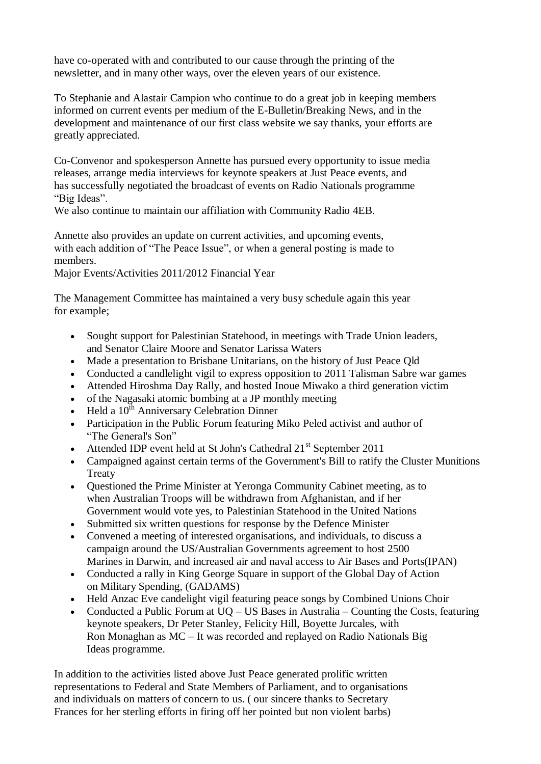have co-operated with and contributed to our cause through the printing of the newsletter, and in many other ways, over the eleven years of our existence.

To Stephanie and Alastair Campion who continue to do a great job in keeping members informed on current events per medium of the E-Bulletin/Breaking News, and in the development and maintenance of our first class website we say thanks, your efforts are greatly appreciated.

Co-Convenor and spokesperson Annette has pursued every opportunity to issue media releases, arrange media interviews for keynote speakers at Just Peace events, and has successfully negotiated the broadcast of events on Radio Nationals programme "Big Ideas".

We also continue to maintain our affiliation with Community Radio 4EB.

Annette also provides an update on current activities, and upcoming events, with each addition of "The Peace Issue", or when a general posting is made to members.

Major Events/Activities 2011/2012 Financial Year

The Management Committee has maintained a very busy schedule again this year for example;

- Sought support for Palestinian Statehood, in meetings with Trade Union leaders, and Senator Claire Moore and Senator Larissa Waters
- Made a presentation to Brisbane Unitarians, on the history of Just Peace Qld
- Conducted a candlelight vigil to express opposition to 2011 Talisman Sabre war games
- Attended Hiroshma Day Rally, and hosted Inoue Miwako a third generation victim
- of the Nagasaki atomic bombing at a JP monthly meeting
- Held a 10<sup>th</sup> Anniversary Celebration Dinner
- Participation in the Public Forum featuring Miko Peled activist and author of "The General's Son"
- Attended IDP event held at St John's Cathedral 21<sup>st</sup> September 2011
- Campaigned against certain terms of the Government's Bill to ratify the Cluster Munitions **Treaty**
- Questioned the Prime Minister at Yeronga Community Cabinet meeting, as to when Australian Troops will be withdrawn from Afghanistan, and if her Government would vote yes, to Palestinian Statehood in the United Nations
- Submitted six written questions for response by the Defence Minister
- Convened a meeting of interested organisations, and individuals, to discuss a campaign around the US/Australian Governments agreement to host 2500 Marines in Darwin, and increased air and naval access to Air Bases and Ports(IPAN)
- Conducted a rally in King George Square in support of the Global Day of Action on Military Spending, (GADAMS)
- Held Anzac Eve candelight vigil featuring peace songs by Combined Unions Choir
- Conducted a Public Forum at UQ US Bases in Australia Counting the Costs, featuring keynote speakers, Dr Peter Stanley, Felicity Hill, Boyette Jurcales, with Ron Monaghan as MC – It was recorded and replayed on Radio Nationals Big Ideas programme.

In addition to the activities listed above Just Peace generated prolific written representations to Federal and State Members of Parliament, and to organisations and individuals on matters of concern to us. ( our sincere thanks to Secretary Frances for her sterling efforts in firing off her pointed but non violent barbs)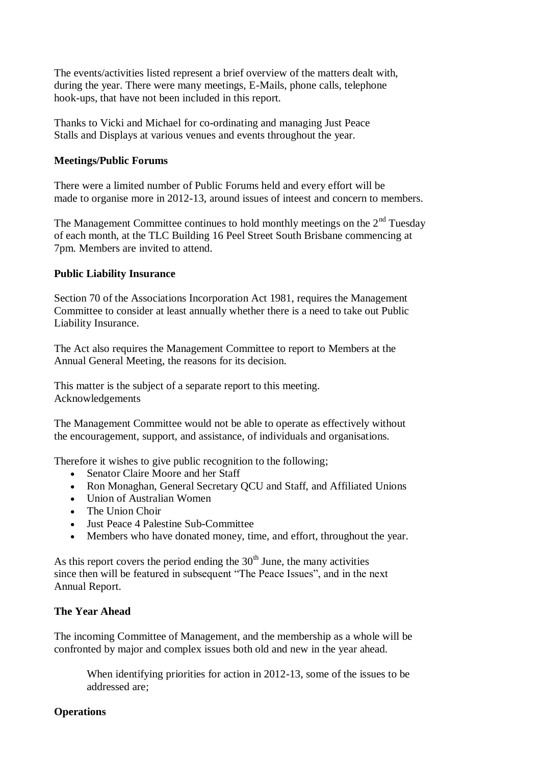The events/activities listed represent a brief overview of the matters dealt with, during the year. There were many meetings, E-Mails, phone calls, telephone hook-ups, that have not been included in this report.

Thanks to Vicki and Michael for co-ordinating and managing Just Peace Stalls and Displays at various venues and events throughout the year.

## **Meetings/Public Forums**

There were a limited number of Public Forums held and every effort will be made to organise more in 2012-13, around issues of inteest and concern to members.

The Management Committee continues to hold monthly meetings on the  $2<sup>nd</sup>$  Tuesday of each month, at the TLC Building 16 Peel Street South Brisbane commencing at 7pm. Members are invited to attend.

## **Public Liability Insurance**

Section 70 of the Associations Incorporation Act 1981, requires the Management Committee to consider at least annually whether there is a need to take out Public Liability Insurance.

The Act also requires the Management Committee to report to Members at the Annual General Meeting, the reasons for its decision.

This matter is the subject of a separate report to this meeting. Acknowledgements

The Management Committee would not be able to operate as effectively without the encouragement, support, and assistance, of individuals and organisations.

Therefore it wishes to give public recognition to the following;

- Senator Claire Moore and her Staff
- Ron Monaghan, General Secretary QCU and Staff, and Affiliated Unions
- Union of Australian Women
- The Union Choir
- Just Peace 4 Palestine Sub-Committee
- Members who have donated money, time, and effort, throughout the year.

As this report covers the period ending the  $30<sup>th</sup>$  June, the many activities since then will be featured in subsequent "The Peace Issues", and in the next Annual Report.

## **The Year Ahead**

The incoming Committee of Management, and the membership as a whole will be confronted by major and complex issues both old and new in the year ahead.

When identifying priorities for action in 2012-13, some of the issues to be addressed are;

# **Operations**